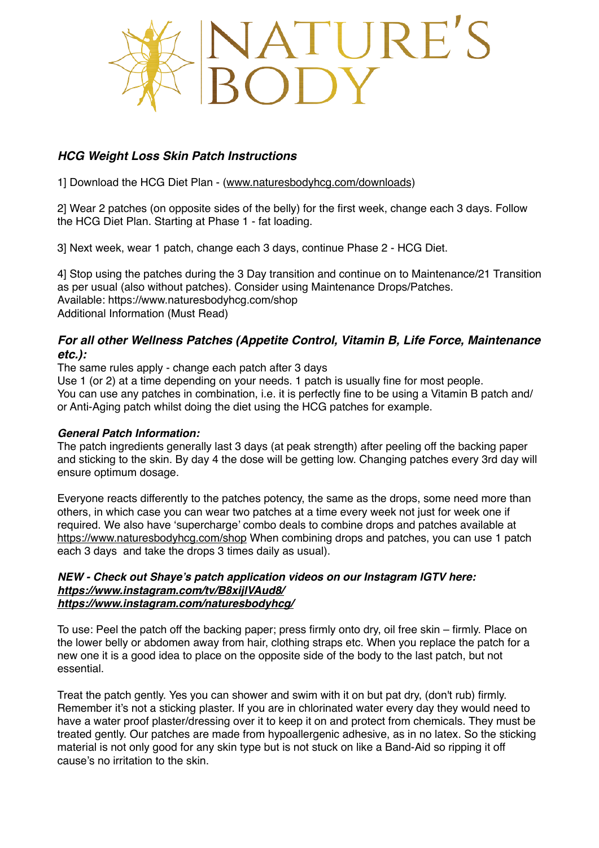

# *HCG Weight Loss Skin Patch Instructions*

1] Download the HCG Diet Plan - [\(www.naturesbodyhcg.com/downloads](http://www.naturesbodyhcg.com/downloads))

2] Wear 2 patches (on opposite sides of the belly) for the first week, change each 3 days. Follow the HCG Diet Plan. Starting at Phase 1 - fat loading.

3] Next week, wear 1 patch, change each 3 days, continue Phase 2 - HCG Diet.

4] Stop using the patches during the 3 Day transition and continue on to Maintenance/21 Transition as per usual (also without patches). Consider using Maintenance Drops/Patches. Available: https://www.naturesbodyhcg.com/shop Additional Information (Must Read)

## *For all other Wellness Patches (Appetite Control, Vitamin B, Life Force, Maintenance etc.):*

The same rules apply - change each patch after 3 days

Use 1 (or 2) at a time depending on your needs. 1 patch is usually fine for most people. You can use any patches in combination, i.e. it is perfectly fine to be using a Vitamin B patch and/ or Anti-Aging patch whilst doing the diet using the HCG patches for example.

### *General Patch Information:*

The patch ingredients generally last 3 days (at peak strength) after peeling off the backing paper and sticking to the skin. By day 4 the dose will be getting low. Changing patches every 3rd day will ensure optimum dosage.

Everyone reacts differently to the patches potency, the same as the drops, some need more than others, in which case you can wear two patches at a time every week not just for week one if required. We also have 'supercharge' combo deals to combine drops and patches available at <https://www.naturesbodyhcg.com/shop> When combining drops and patches, you can use 1 patch each 3 days and take the drops 3 times daily as usual).

#### *NEW - Check out Shaye's patch application videos on our Instagram IGTV here: <https://www.instagram.com/tv/B8xijlVAud8/> <https://www.instagram.com/naturesbodyhcg/>*

To use: Peel the patch off the backing paper; press firmly onto dry, oil free skin – firmly. Place on the lower belly or abdomen away from hair, clothing straps etc. When you replace the patch for a new one it is a good idea to place on the opposite side of the body to the last patch, but not essential.

Treat the patch gently. Yes you can shower and swim with it on but pat dry, (don't rub) firmly. Remember it's not a sticking plaster. If you are in chlorinated water every day they would need to have a water proof plaster/dressing over it to keep it on and protect from chemicals. They must be treated gently. Our patches are made from hypoallergenic adhesive, as in no latex. So the sticking material is not only good for any skin type but is not stuck on like a Band-Aid so ripping it off cause's no irritation to the skin.